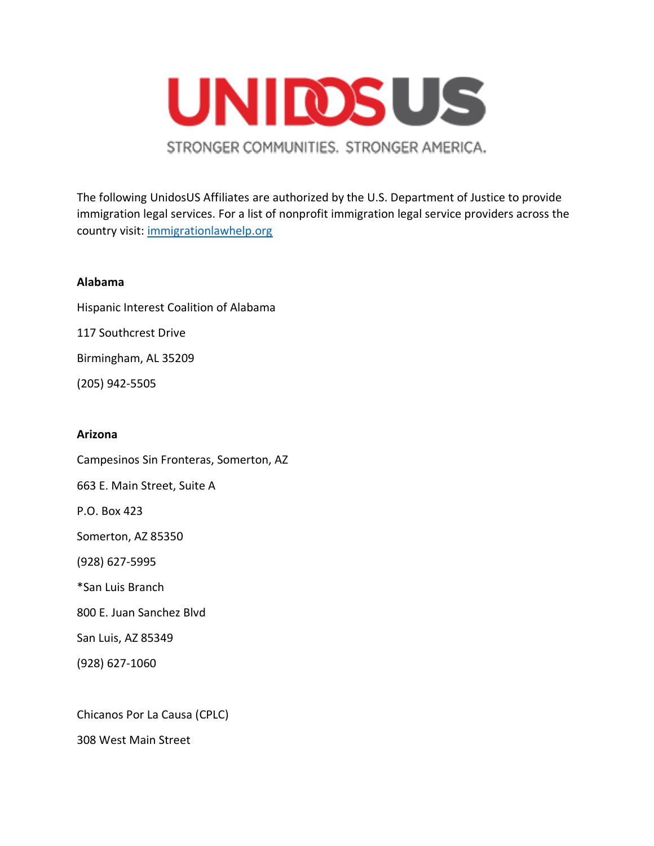

The following UnidosUS Affiliates are authorized by the U.S. Department of Justice to provide immigration legal services. For a list of nonprofit immigration legal service providers across the country visit: [immigrationlawhelp.org](https://www.immigrationlawhelp.org/)

### **Alabama**

Hispanic Interest Coalition of Alabama 117 Southcrest Drive Birmingham, AL 35209 (205) 942-5505

# **Arizona**

Campesinos Sin Fronteras, Somerton, AZ

663 E. Main Street, Suite A

P.O. Box 423

Somerton, AZ 85350

(928) 627-5995

\*San Luis Branch

800 E. Juan Sanchez Blvd

San Luis, AZ 85349

(928) 627-1060

Chicanos Por La Causa (CPLC)

308 West Main Street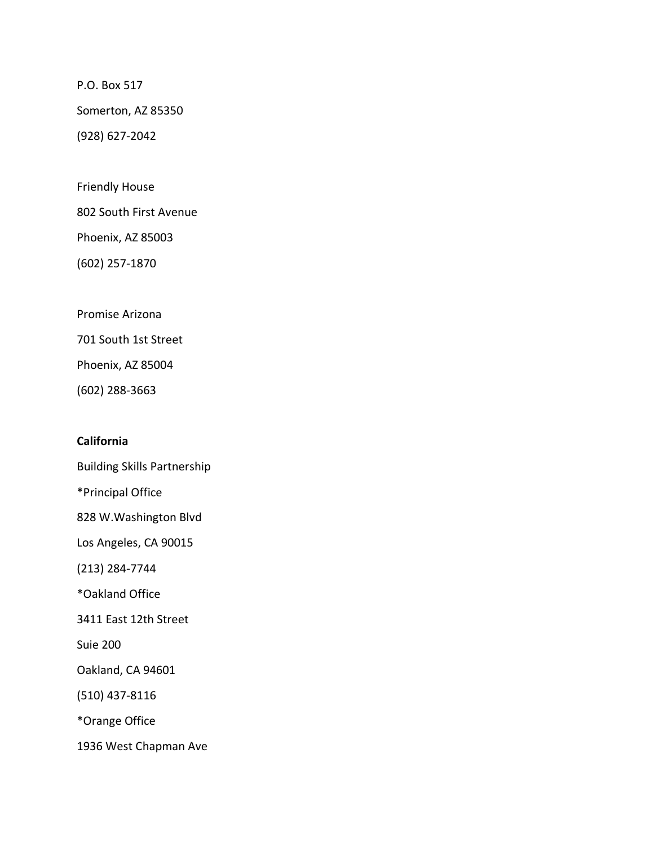P.O. Box 517 Somerton, AZ 85350 (928) 627-2042

Friendly House

802 South First Avenue

Phoenix, AZ 85003

(602) 257-1870

Promise Arizona

701 South 1st Street

Phoenix, AZ 85004

(602) 288-3663

# **California**

Building Skills Partnership \*Principal Office 828 W.Washington Blvd Los Angeles, CA 90015 (213) 284-7744 \*Oakland Office 3411 East 12th Street Suie 200 Oakland, CA 94601 (510) 437-8116 \*Orange Office 1936 West Chapman Ave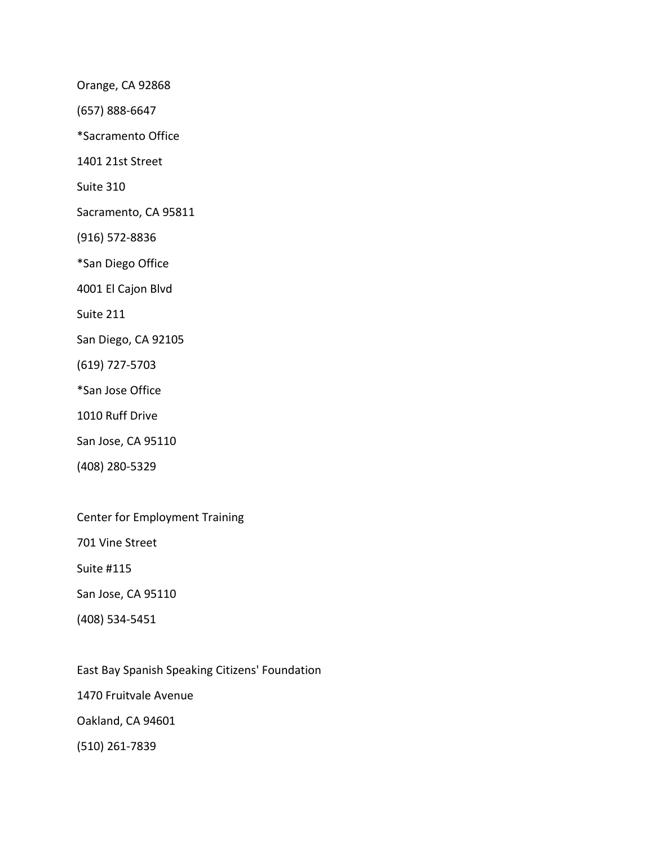Orange, CA 92868

(657) 888-6647

\*Sacramento Office

1401 21st Street

Suite 310

Sacramento, CA 95811

(916) 572-8836

\*San Diego Office

4001 El Cajon Blvd

Suite 211

San Diego, CA 92105

(619) 727-5703

\*San Jose Office

1010 Ruff Drive

San Jose, CA 95110

(408) 280-5329

Center for Employment Training

701 Vine Street

Suite #115

San Jose, CA 95110

(408) 534-5451

East Bay Spanish Speaking Citizens' Foundation 1470 Fruitvale Avenue Oakland, CA 94601 (510) 261-7839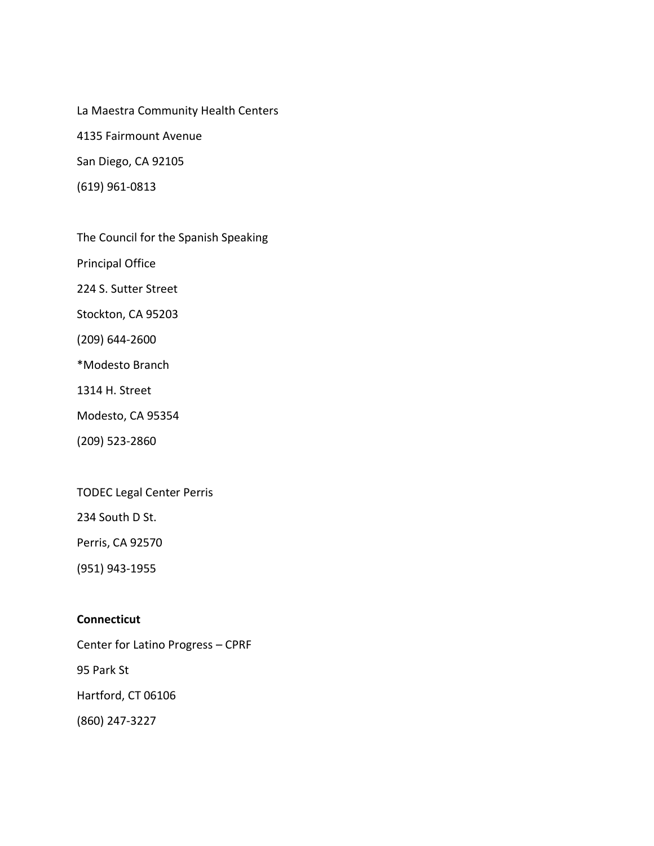La Maestra Community Health Centers 4135 Fairmount Avenue San Diego, CA 92105 (619) 961-0813

The Council for the Spanish Speaking

Principal Office

224 S. Sutter Street

Stockton, CA 95203

(209) 644-2600

\*Modesto Branch

1314 H. Street

Modesto, CA 95354

(209) 523-2860

TODEC Legal Center Perris

234 South D St.

Perris, CA 92570

(951) 943-1955

# **Connecticut**

Center for Latino Progress – CPRF 95 Park St Hartford, CT 06106 (860) 247-3227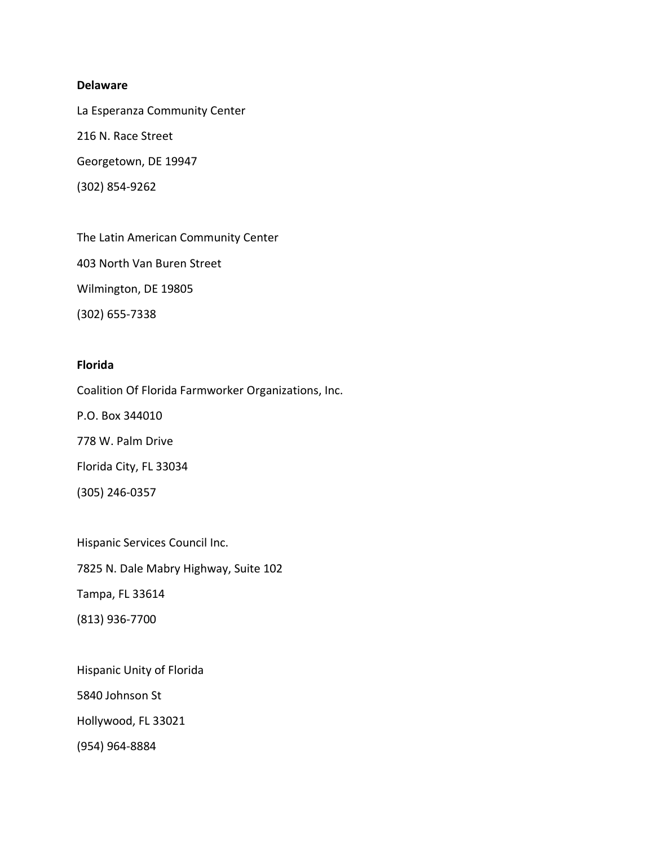### **Delaware**

La Esperanza Community Center 216 N. Race Street Georgetown, DE 19947 (302) 854-9262

The Latin American Community Center 403 North Van Buren Street Wilmington, DE 19805 (302) 655-7338

## **Florida**

(305) 246-0357

Coalition Of Florida Farmworker Organizations, Inc. P.O. Box 344010 778 W. Palm Drive Florida City, FL 33034

Hispanic Services Council Inc. 7825 N. Dale Mabry Highway, Suite 102 Tampa, FL 33614 (813) 936-7700

Hispanic Unity of Florida 5840 Johnson St Hollywood, FL 33021 (954) 964-8884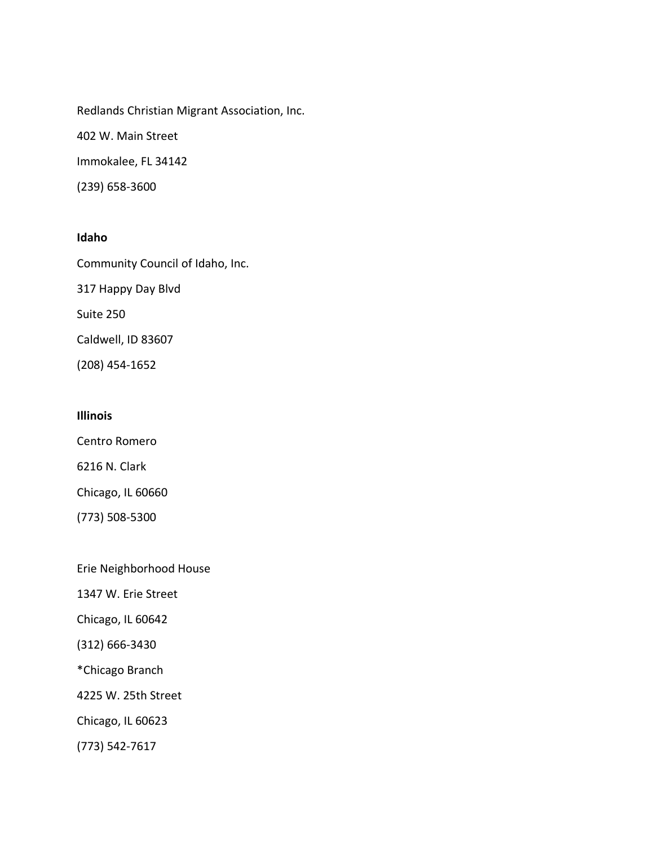Redlands Christian Migrant Association, Inc. 402 W. Main Street Immokalee, FL 34142 (239) 658-3600

# **Idaho**

Community Council of Idaho, Inc. 317 Happy Day Blvd Suite 250 Caldwell, ID 83607 (208) 454-1652

## **Illinois**

Centro Romero

6216 N. Clark

Chicago, IL 60660

(773) 508-5300

Erie Neighborhood House

1347 W. Erie Street

Chicago, IL 60642

(312) 666-3430

\*Chicago Branch

4225 W. 25th Street

Chicago, IL 60623

(773) 542-7617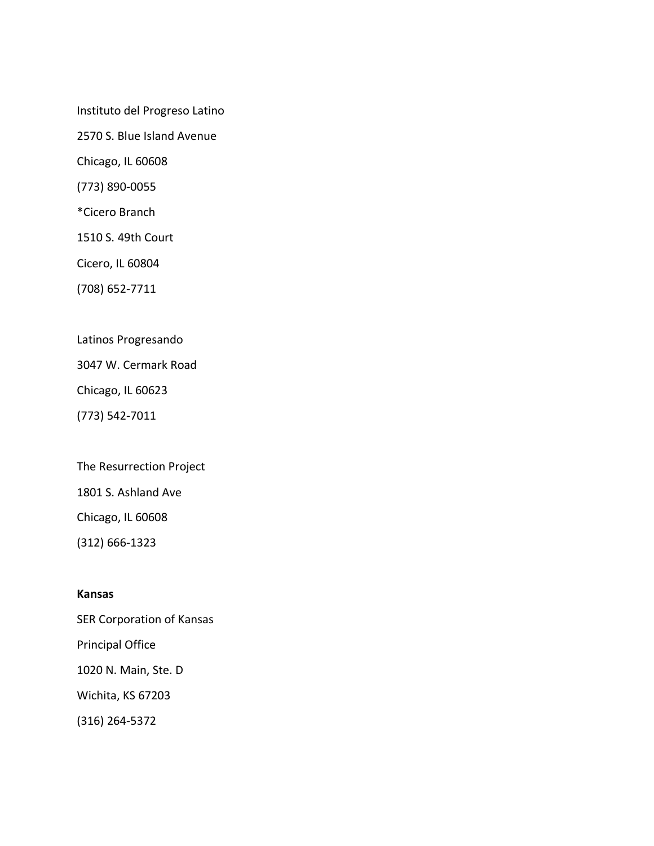Instituto del Progreso Latino

2570 S. Blue Island Avenue

Chicago, IL 60608

(773) 890-0055

\*Cicero Branch

1510 S. 49th Court

Cicero, IL 60804

(708) 652-7711

Latinos Progresando

3047 W. Cermark Road

Chicago, IL 60623

(773) 542-7011

The Resurrection Project

1801 S. Ashland Ave

Chicago, IL 60608

(312) 666-1323

**Kansas**

SER Corporation of Kansas Principal Office 1020 N. Main, Ste. D Wichita, KS 67203

(316) 264-5372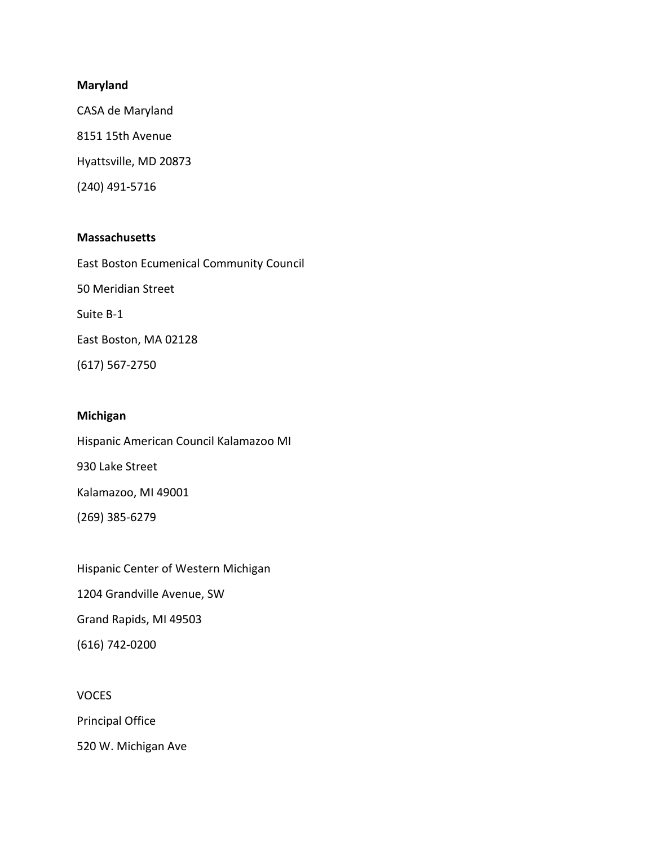#### **Maryland**

CASA de Maryland 8151 15th Avenue Hyattsville, MD 20873 (240) 491-5716

### **Massachusetts**

East Boston Ecumenical Community Council 50 Meridian Street Suite B-1 East Boston, MA 02128 (617) 567-2750

#### **Michigan**

Hispanic American Council Kalamazoo MI 930 Lake Street Kalamazoo, MI 49001 (269) 385-6279

Hispanic Center of Western Michigan 1204 Grandville Avenue, SW Grand Rapids, MI 49503 (616) 742-0200

VOCES Principal Office 520 W. Michigan Ave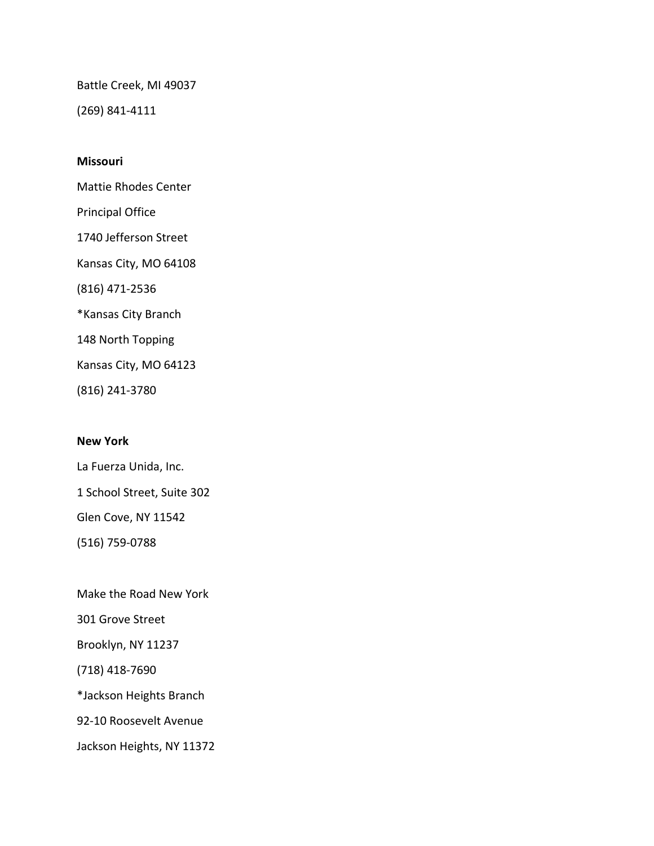Battle Creek, MI 49037

(269) 841-4111

### **Missouri**

Mattie Rhodes Center Principal Office 1740 Jefferson Street Kansas City, MO 64108 (816) 471-2536 \*Kansas City Branch 148 North Topping Kansas City, MO 64123 (816) 241-3780

#### **New York**

La Fuerza Unida, Inc. 1 School Street, Suite 302 Glen Cove, NY 11542 (516) 759-0788

Make the Road New York

301 Grove Street

Brooklyn, NY 11237

(718) 418-7690

\*Jackson Heights Branch

92-10 Roosevelt Avenue

Jackson Heights, NY 11372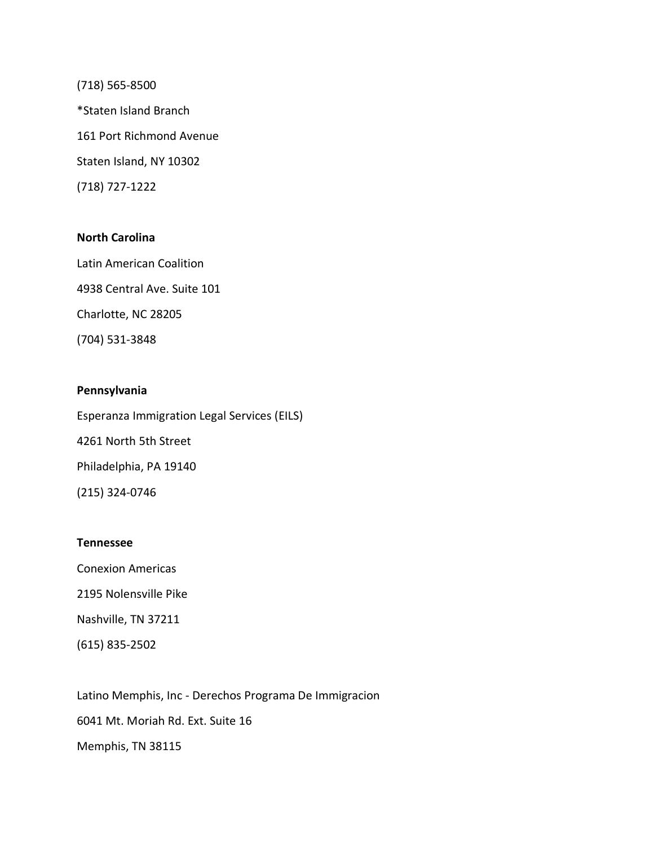(718) 565-8500 \*Staten Island Branch 161 Port Richmond Avenue Staten Island, NY 10302 (718) 727-1222

## **North Carolina**

Latin American Coalition 4938 Central Ave. Suite 101 Charlotte, NC 28205 (704) 531-3848

#### **Pennsylvania**

Esperanza Immigration Legal Services (EILS) 4261 North 5th Street Philadelphia, PA 19140 (215) 324-0746

#### **Tennessee**

Conexion Americas 2195 Nolensville Pike Nashville, TN 37211

(615) 835-2502

Latino Memphis, Inc - Derechos Programa De Immigracion 6041 Mt. Moriah Rd. Ext. Suite 16 Memphis, TN 38115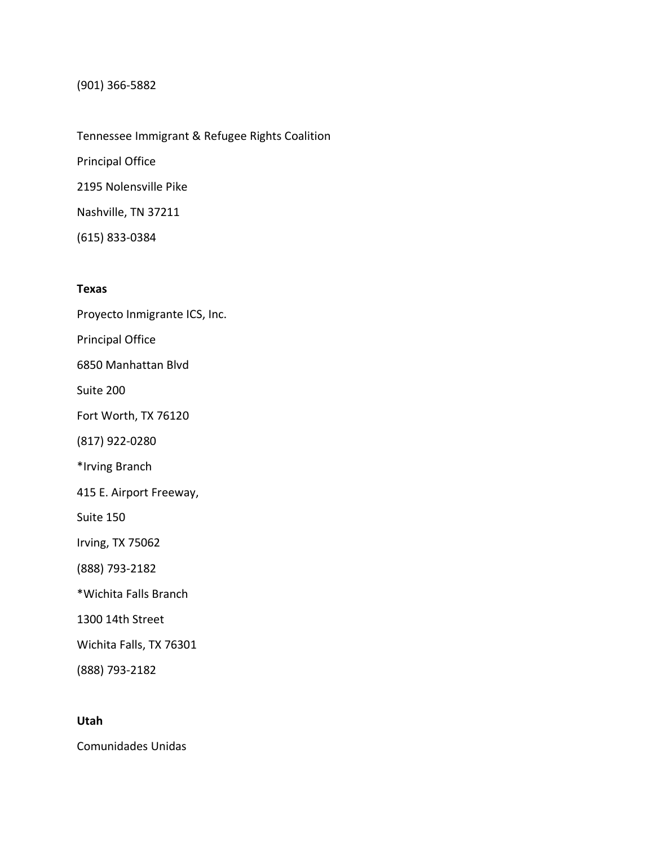### (901) 366-5882

Tennessee Immigrant & Refugee Rights Coalition Principal Office 2195 Nolensville Pike Nashville, TN 37211 (615) 833-0384

### **Texas**

Proyecto Inmigrante ICS, Inc. Principal Office 6850 Manhattan Blvd Suite 200 Fort Worth, TX 76120 (817) 922-0280 \*Irving Branch 415 E. Airport Freeway, Suite 150 Irving, TX 75062 (888) 793-2182 \*Wichita Falls Branch 1300 14th Street Wichita Falls, TX 76301 (888) 793-2182

# **Utah**

Comunidades Unidas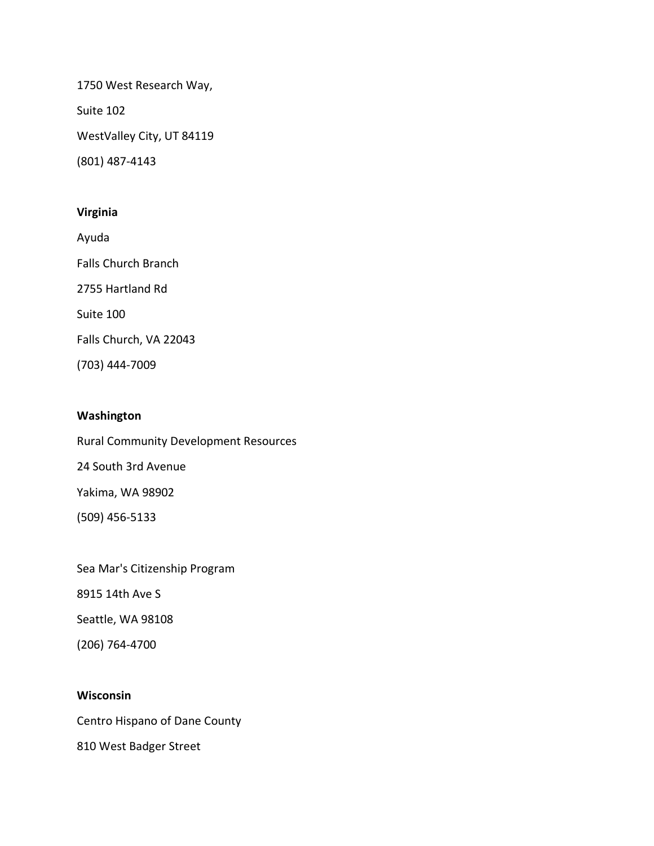1750 West Research Way, Suite 102 WestValley City, UT 84119 (801) 487-4143

# **Virginia**

Ayuda Falls Church Branch 2755 Hartland Rd Suite 100 Falls Church, VA 22043 (703) 444-7009

# **Washington**

Rural Community Development Resources 24 South 3rd Avenue Yakima, WA 98902 (509) 456-5133

Sea Mar's Citizenship Program

8915 14th Ave S

Seattle, WA 98108

(206) 764-4700

# **Wisconsin**

Centro Hispano of Dane County

810 West Badger Street